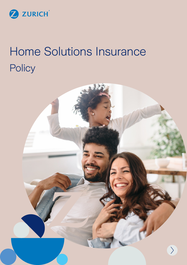

# Home Solutions Insurance **Policy**

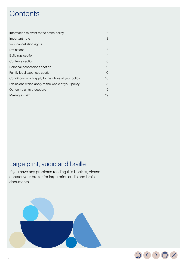# **Contents**

| Information relevant to the entire policy          | 3  |
|----------------------------------------------------|----|
| Important note                                     | З  |
| Your cancellation rights                           | З  |
| Definitions                                        | 3  |
| <b>Buildings section</b>                           | 4  |
| Contents section                                   | 6  |
| Personal possessions section                       | 9  |
| Family legal expenses section                      | 10 |
| Conditions which apply to the whole of your policy | 16 |
| Exclusions which apply to the whole of your policy | 18 |
| Our complaints procedure                           |    |
| Making a claim                                     |    |

# Large print, audio and braille

If you have any problems reading this booklet, please contact your broker for large print, audio and braille documents.



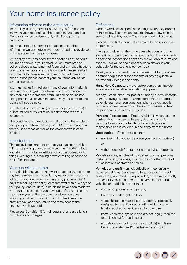# <span id="page-2-0"></span>Your home insurance policy

# Information relevant to the entire policy

Your policy is an agreement between you (the person shown in your schedule as the person insured) and us (Zurich Insurance plc) but is only valid if you pay the premiums.

Your most recent statement of facts sets out the information we were given when we agreed to provide you with the cover and the policy terms.

Your policy provides cover for the sections and period of insurance shown in your schedule. You must read your policy, schedule, statement of facts and any specifications or endorsements as one single contract. Please read all documents to make sure the cover provided meets your needs. If not, please contact your insurance advisor as soon as possible.

You must tell us immediately if any of your information is incorrect or changes. If we have wrong information this may result in an increased premium and/or claims not being paid in full, or your insurance may not be valid and claims will not be paid.

You should keep a record (including copies of letters) of all information supplied to us in connection with this insurance.

The conditions and exclusions that apply to the whole of your policy are shown on pages 16-18. Please make sure that you read these as well as the cover shown in each section.

# Important note

This policy is designed to protect you against the risk of things happening unexpectedly such as fire, theft, flood and storm. It is not a substitute for proper upkeep or for things wearing out, breaking down or failing because of lack of maintenance.

# Your cancellation rights

If you decide that you do not want to accept the policy (or any future renewal of the policy by us) tell your insurance advisor of your decision, in writing or by phone within 14 days of receiving the policy (or for renewal, within 14 days of your policy renewal date). If no claims have been made we will refund the premium you have paid. If a claim is made we charge you for the days we have been on cover (applying a minimum premium of £15 plus insurance premium tax) and then refund the remainder of the premium you have paid.

Please see Condition 5 for full details of all cancellation conditions and charges.

# **Definitions**

Certain words have specific meanings when they appear in this policy. These meanings are shown below or in the section where they apply. They are printed in bold type.

Excess – the first amount of any claim for which you are responsible.

(If we pay a claim for the same cause happening at the same time under more than one of the buildings, contents or personal possessions sections, we will only take off one excess. This will be the highest excess shown in your schedule for the sections concerned.)

Family – your husband, wife or partner, children, relatives or other people (other than tenants or paying guests) all permanently living in the home.

Hand Held Computers - are laptop computers, tablets, e-readers and satellite navigation equipment.

Money – cash, cheques, postal or money orders, postage stamps, savings stamps, savings certificates or bonds, travel tickets, luncheon vouchers, phone cards, mobile phone vouchers, reward vouchers or gift tokens all held for personal or charitable purposes.

Personal Possessions - Property which is worn, used or carried about the person in every day life and which belongs to you or your family or for which you are responsible and is covered in and away from the home.

Unoccupied – if the home is either:

- not lived in by you (or a person you have authorised); or
- without enough furniture for normal living purposes.

Valuables – any articles of gold, silver or other precious metal, jewellery, watches, furs, pictures or other works of art, collections of stamps or coins.

Vehicles and craft – any electrically or mechanically powered vehicles, caravans, trailers, watercraft including surfboards, land windsurfing vehicles, hovercraft, aircraft, drones or UAVs (Unmanned Aerial Vehicles), all-terrain vehicles or quad bikes other than:

- domestic gardening equipment;
- battery operated golf trolleys;
- wheelchairs or similar electric scooters, specifically designed for the disabled or infirm which are not legally required to be licensed for road use;
- battery assisted cycles which are not legally required to be licensed for road use; and
- models or toys (but not drones or UAVs) which are battery operated and/or pedestrian controlled.

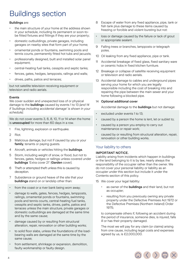# <span id="page-3-0"></span>Buildings section

#### Buildings are:

- the main structure of your home at the address shown in your schedule, including its permanent or soon-tobe fitted fixtures and fittings if they are your property;
- domestic outbuildings, private garages, including garages on nearby sites that form part of your home;
- ornamental ponds or fountains, swimming pools and tennis courts, permanently fitted hot tubs and jacuzzis;
- professionally designed, built and installed solar panel equipment;
- central-heating fuel tanks, cesspits and septic tanks;
- fences, gates, hedges, lampposts, railings and walls;
- drives, paths, patios and terraces;

but not satellite television-receiving equipment or television and radio aerials.

#### Events

We cover sudden and unexpected loss of or physical damage to the buildings caused by events 1 to 13 *(and 14 if 'buildings including accidental damage' is shown in your schedule)*.

We do not cover events 3, 6, 8, 10, 11 or 14 when the home is unoccupied for more than 60 days in a row.

- 1 Fire, lightning, explosion or earthquake.
- 2 Riot.
- 3 Malicious damage, but not if caused by you or your family, tenants or paying guests.
- 4 Aircraft, animals or vehicles hitting the **buildings**.
- 5 Storm, including weight of snow, or flood, but not to fences, gates, hedges or railings unless covered under buildings 'Extra cover 21' (Garden cover).
- 6 Theft or attempted theft unless this is caused by deception.
- 7 Subsidence or ground heave of the site that your **buildings** stand on or landslip other than:
- from the coast or a river bank being worn away;
- damage to walls, gates, fences, hedges, lampposts, railings, ornamental ponds or fountains, swimming pools and tennis courts, central-heating fuel tanks, cesspits and septic tanks, drives, paths, patios and terraces unless the main structure, private garages or domestic outbuildings are damaged at the same time and by the same cause;
- damage caused by or resulting from structural alteration, repair, renovation or other building works;
- to solid floor slabs, unless the foundations of the loadbearing walls are damaged at the same time by the same cause;
- from settlement, shrinkage or expansion, demolition, faulty workmanship or faulty design.
- 8 Escape of water from any fixed appliance, pipe, tank or fish tank plus damage to these items caused by freezing or forcible and violent bursting but not:
- loss or damage caused by the failure or lack of grout or appropriate sealant.
- 9 Falling trees or branches, lampposts or telegraph poles.
- 10 Oil leaking from any fixed appliance, pipe or tank.
- 11 Accidental breakage of fixed glass, fixed sanitary ware or ceramic hobs in fixed kitchen furniture.
- 12 Breakage or collapse of satellite receiving equipment or television and radio aerials.
- 13 Accidental damage to cables and underground pipes serving your home for which you are legally responsible including the cost of breaking into and repairing the pipe between the main sewer and your home following a blocked pipe.

#### 14 Optional additional cover

Accidental damage to the **buildings** but not damage:

- excluded under events 1 to 13;
- caused by a person the home is lent, let or sublet to;
- caused by a person you employ to carry out maintenance or repair work;
- caused by or resulting from structural alteration, repair, renovation or other building works.

# Your liability to others

#### IMPORTANT NOTICE.

Liability arising from incidents which happen in buildings or the land belonging to it is by law, nearly always the responsibility of the occupier rather than the owner. We do not cover your personal liability or liability as an occupier under this section but include it under the Contents section of this policy.

- 15 We cover your legal liability:
	- as owner of the **buildings** and their land, but not as occupier;
	- resulting from you previously owning any private property under the Defective Premises Act 1972 or the Defective Premises (Northern Ireland) Order 1975;

to compensate others if, following an accident during the period of insurance, someone dies, is injured, falls ill or has their property damaged.

The most we will pay for any claim (or claims) arising from one cause, including legal costs and expenses agreed by us, is £2,000,000.

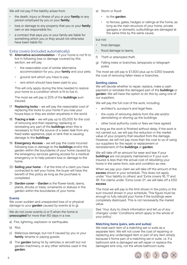We will not pay if the liability arises from:

- the death, injury or illness of you or your family or any person employed by you or your family;
- loss or damage to any property that you or your family own or are responsible for;
- a contract that says you or your family are liable for something which you or they would not otherwise have been liable for.

# Extra covers (included automatically)

- 16 Alternative accommodation if your home is not fit to live in following loss or damage covered by this section, we will pay:
	- the reasonable cost of similar alternative accommodation for you, your family and your pets;
	- ground rent which you have to pay;
	- rent which should have been paid to you.

This will only apply during the time needed to restore your home to a condition which is fit to live in.

The most we will pay is 20% of the **buildings** sum insured.

- 17 Replacing locks we will pay the reasonable cost of replacing the locks to your home if you lose your house keys or they are stolen anywhere in the world.
- 18 Tracing a leak we will pay up to £5,000 for the cost of removing and then repairing, replacing or reinstating any part of the **buildings** when this is necessary to find the source of a water leak from any fixed water appliance, pipe or tank that is causing damage to the buildings.
- 19 **Emergency Access** we will pay the costs incurred following loss or damage to the **buildings** and/or the garden within the boundaries of your home caused by the emergency services gaining access for a medical emergency or to help prevent loss or damage to the home.
- 20 Selling your home  $-$  if at the time of a claim you have contracted to sell your home, the buyer will have the benefit of this policy as long as the purchase is completed.
- 21 Garden cover Garden is the flower-beds, lawns, plants, shrubs or trees, ornaments or statues in the garden within the boundaries of your home.

# Events

We cover sudden and unexpected loss of or physical damage to your **garden** caused by events a) to g).

We do not cover events c) or f) when the home is unoccupied for more than 60 days in a row.

- a) Fire, lightning, explosion or earthquake.
- b) Riot.
- c) Malicious damage, but not if caused by you or your family, tenants or paying quests.
- d) The garden being hit by vehicles or aircraft but not garden machinery, or any other vehicles used in the garden.
- e) Storm or flood:
	- to the garden;
	- to fences, gates, hedges or railings at the home, as long as the main structure of your home, private garages or domestic outbuildings are damaged at the same time by the same cause;

but not:

- frost damage;
- flood damage to lawns.
- f) Theft or attempted theft.
- g) Falling trees or branches, lampposts or telegraph poles.

The most we will pay is £1,500 plus up to £250 towards the cost of removing fallen trees or branches.

#### Settling claims

We will decide whether to repair, replace, make a cash payment or reinstate the damaged part of the **buildings** or garden. We will have the option to do this by using one of our suppliers.

We will pay the full cost of the work, including:

- architect's, surveyor's and legal fees;
- the costs of removing debris from the site and/or demolishing or shoring up the buildings;
- other local authority costs or fees we have agreed

as long as the work is finished without delay. If the work is not carried out, we will pay the reduction in the market value of your property that resulted from the damage. However, we will not pay more than the cost to us of using our suppliers for the repair or replacement or reinstatement of the **buildings** or **garden**.

We will take off an amount for wear and tear if your **buildings** are not properly maintained or if your sum insured is less than the actual cost of rebuilding your home in the same form, size and condition as new.

When we pay your claim we will take off the amount of the excess shown in your schedule. This does not apply under 'Your liability to others' and 'Extra covers 16, 17 and 18'. For claims under 'Extra cover 21', we will take off a £50 excess.

The most we will pay is the limit shown in the policy or the sum insured shown in your schedule. This figure must be enough to fully rebuild your home if the buildings were completely destroyed. This is not necessarily the market value.

See 'Your duty to check information and tell us of any changes' under 'Conditions which apply to the whole of your policy'.

#### Matching items (pairs, sets and suites)

We treat each item of a matching set or suite as a separate item. We will not cover the cost of repairing or replacing any undamaged item or part of any item simply because it forms part of a matching set or suite. i.e. if a bathroom sink is damaged we will repair or replace the damaged sink only, not the whole bathroom suite.

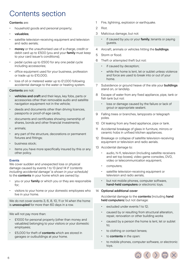# <span id="page-5-0"></span>Contents section

# Contents are:

- household goods and personal property;
- valuables;
- satellite television-receiving equipment and television and radio aerials;
- money or the unauthorised use of a charge, credit or debit card up to £500 (you and your family must keep to your card issuer's conditions);
- pedal cycles up to £500 for any one pedal cycle including accessories;
- office equipment used for your business, profession or trade up to £10,000;
- loss of oil or metered water up to £1,000 following accidental damage to the water or heating system.

# Contents are not:

- vehicles and craft and their keys, key fobs, parts or accessories other than removable audio and satellite navigation equipment not in the vehicle;
- deeds and documents other than driving licences, passports or proof-of-age cards;
- documents and certificates showing ownership of shares, bonds and other financial investments;
- animals;
- any part of the structure, decorations or permanent fixtures and fittings;
- business stock:
- items you have more specifically insured by this or any other policy.

#### Events

We cover sudden and unexpected loss or physical damage caused by events 1 to 13 *(and 14 if 'contents including accidental damage' is shown in your schedule)* to the **contents** in your home which are owned by:

- you or your family or which you or they are responsible for;
- visitors to your home or your domestic employees who live in your home.

We do not cover events 3, 6, 8, 10, 11 or 14 when the home is **unoccupied** for more than 60 days in a row.

We will not pay more than:

- £1000 for personal property (other than money and valuables) belonging to your visitors or your domestic employees;
- £5,000 for theft of **contents** which are stored in garages or outbuildings at your home.
- 1 Fire, lightning, explosion or earthquake.
- 2 Riot.
- 3 Malicious damage, but not:
	- if caused by you or your family, tenants or paying guests.
- 4 Aircraft, animals or vehicles hitting the **buildings**.
- 5 Storm or flood.
- 6 Theft or attempted theft but not:
	- if caused by deception;
	- while the home is lent, let or sublet unless violence and force are used to break into or out of your home.
- 7 Subsidence or ground heave of the site your **buildings** stand on, or landslip.
- 8 Escape of water from any fixed appliance, pipe, tank or fish tank but not:
	- loss or damage caused by the failure or lack of grout or appropriate sealant.
- 9 Falling trees or branches, lampposts or telegraph poles.
- 10 Oil leaking from any fixed appliance, pipe or tank.
- 11 Accidental breakage of glass in furniture, mirrors or ceramic hobs in unfixed kitchen appliances.
- 12 Breakage or collapse of satellite television-receiving equipment or television and radio aerials.
- 13 Accidental damage to:
	- audio, hi-fi, television (including satellite receivers and set top boxes), video game consoles, DVD, video or telecommunication equipment;
	- computers;
	- satellite television-receiving equipment or television and radio aerials;
	- but not mobile phones, computer software, hand-held computers or electronic toys.

# 14 Optional additional cover

Accidental damage to the contents (including hand held computers) but not damage:

- excluded under events 1 to 12:
- caused by or resulting from structural alteration, repair, renovation or other building works
- caused by a person the home is lent, let or sublet to;
- to clothing or contact lenses:
- to **contents** in the open:
- to mobile phones, computer software, or electronic toys.

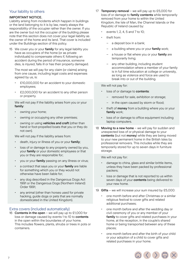# Your liability to others

#### IMPORTANT NOTICE.

Liability arising from incidents which happen in buildings or the land belonging to it is by law, nearly always the responsibility of the occupier rather than the owner. If you are the owner but not the occupier of the building please note that this section does not cover your legal liability as the owner of the home and its land. That cover is included under the Buildings section of this policy.

15 We cover you or your family for any legal liability you have as occupiers of the home (or as private individuals) to compensate others if, following an accident during the period of insurance, someone dies, is injured, falls ill or has their property damaged.

The most we will pay for any claim (or claims) arising from one cause, including legal costs and expenses agreed by us, is:

- £10,000,000 for an accident to your domestic employees;
- £2,000,000 for an accident to any other person or property.

We will not pay if the liability arises from you or your family:

- owning your home;
- owning or occupying any other premises;
- owning or using vehicles and craft (other than hand or foot-propelled boats that you or they do not own).

We will not pay if the liability arises from:

- death, injury or illness of you or your family;
- loss of or damage to any property owned by you, your family or your domestic employees or that you or they are responsible for;
- you or your **family** passing on any illness or virus;
- a contract that says you or your family are liable for something which you or they would not otherwise have been liable for;
- any dog described in the Dangerous Dogs Act 1991 or the Dangerous Dogs (Northern Ireland) Order 1991;
- any animal (other than horses used for private hacking, guide dogs or pets that are normally domesticated in the United Kingdom).

# Extra covers (included automatically)

16 **Contents in the open** – we will pay up to £1,000 for loss or damage caused by events 1 to 10 to contents in the open within the boundaries of your home. This includes flowers, plants, shrubs or trees in pots or containers.

- 17 Temporary removal we will pay up to £5,000 for loss of or damage to family contents while temporarily removed from your home to within the United Kingdom, the Isle of Man, the Channel Islands or the Republic of Ireland caused by:
	- events 1, 2, 4, 5 and 7 to 10;
	- theft from:
		- a deposit box in a bank;
		- a building where you or your family work;
		- a house or flat where you or your family are temporarily living;
		- any other building, including student accommodation where a member of your family is in full time education at college or university, as long as violence and force are used to break into or out of the building.

We will not pay for:

- loss of or damage to contents:
	- removed for sale, exhibition or storage;
	- in the open caused by storm or flood;
- theft of **money** from a building where you or your family work;
- loss of or damage to office equipment including laptop computers.
- 18 **Moving to a new home** we will pay for sudden and unexpected loss of or physical damage to your contents (but not money) while they are being moved to your new permanent home in the British Isles by professional removers. This includes while they are temporarily stored for up to seven days in furniture storage.

We will not pay for:

- damage to china, glass and similar brittle items, unless they have been packed by professional packers;
- loss or damage that is not reported to us within seven days of your contents being delivered to your new home.
- 19 Gifts we will increase your sum insured by £5,000:
	- one month before and after Christmas or a similar religious festival to cover gifts and related additional purchases;
	- one month before and after the wedding day or civil ceremony of you or any member of your family to cover gifts and related purchases in your home, at the reception, in the couple's shared home or being transported between any of these places;
	- one month before and after the birth of your child or your adoption of a child to cover gifts and related purchases in your home.

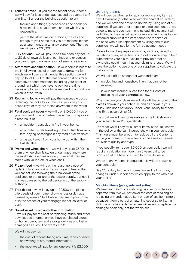- 20 **Tenant's cover** if you are the tenant of your home, we will pay for loss or damage caused by events 1 to 6 and 8 to 13 under the buildings section to any:
	- fixtures and fittings, greenhouses and sheds you have installed at your home and for which you are responsible;
	- part of the structure, decorations, fixtures and fittings of your home that you are responsible for as a tenant under a tenancy agreement. The most we will pay is £10,000.
- 21 Jury service we will pay up to £50 each day (for up to 20 days) towards loss of earnings and expenses you cannot get back as a result of serving as a juror.
- 22 Alternative accommodation if your home is not fit to live in following loss of or damage to contents for which we will pay a claim under this section, we will pay up to £10,000 for the reasonable cost of similar alternative accommodation (including your pets), or ground rent which you have to pay, for the time necessary for your home to be restored to a condition which is fit to live in.
- 23 Replacing locks we will pay the reasonable cost of replacing the locks to your home if you lose your house keys or they are stolen anywhere in the world.
- 24 Fatal accident cover we will pay £10,000 if you or your husband, wife or partner die within 30 days as a direct result of:
	- an accident, assault or a fire in your home;
	- an accident while travelling in the British Isles as a fare-paying passenger in any road or rail vehicle;
	- an assault away from your home but within the British Isles.
- 25 Prams and wheelchairs we will pay up to £500 if a pram or wheelchair is stolen or damaged anywhere in the world. Accessories are only covered if they are stolen with your pram or wheelchair.
- 26 Frozen food we will pay the reasonable cost of replacing food and drink in your fridge or freezer that you cannot use following the breakdown of the appliance or the failure of the power supply, but not if this was caused by the deliberate act of the supply authority.
- 27 Title deeds we will pay up to  $£2,500$  to replace the title deeds of your home following loss or damage caused by events 1 to 10 while they are in your home or in the offices of your mortgage lender, solicitor or bank.

28 Downloaded music and other information – we will pay for the cost of replacing music and other downloaded information you have purchased stored on home computers and storage devices and lost or damaged as a result of events 1 to 8.

We will not pay for:

- the cost of reconstituting any films, tapes or discs or rewriting of any stored information.
- the most we will pay for any one event is  $£2,500$ .

# Settling claims

We will decide whether to repair or replace any item as new if available (or otherwise with the nearest equivalent) and we will have the option to do this by using one of our suppliers. If we can offer a repair or a replacement but we agree to make a cash payment instead, this payment will be limited to the cost of repair or replacement to us by our preferred supplier. If the item cannot be repaired or replaced with a like replacement by using one of our suppliers, we will pay for the full replacement cost.

Please forward any repair accounts, invoices, receipts, valuations or any other forms of proof of ownership to help substantiate your claim. Failure to provide proof of ownership could mean that your claim is refused. We will have the option to use one of our suppliers to validate the loss or repair.

We will take off an amount for wear and tear:

- on clothing and household linen that cannot be repaired;
- if your sum insured is less than the full cost of replacing all your contents as new.

When we pay your claim we will take off the amount of the excess shown in your schedule and as shown in your policy. This does not apply under 'Your liability to others' and Extra covers 21 to 28.

The most we will pay for **valuables** is the limit shown in your schedule and/or specification.

The most we will pay for all other items is the limit shown in the policy or the sum insured shown in your schedule. This figure must be enough to replace all the Contents within your home with new items of the same or nearest equivalent quality and type.

If you specify items over £5,000 on your policy we will require a valuation no more than 3 years old to be produced at the time of a claim to prove its value.

Where such evidence is required, this will be shown on your schedule.

See 'Your duty to check information and tell us of any changes' under Conditions which apply to the whole of your policy'.

#### Matching items (pairs, sets and suites)

We treat each item of a matching pair, set or suite as a separate item. We will not cover the cost of repairing or replacing any undamaged item or part of any item simply because it forms part of a matching set or suite. i.e. if a dining room chair is damaged we will repair or replace the damaged chair only, not the whole set.

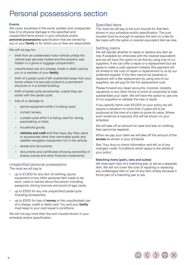# <span id="page-8-0"></span>Personal possessions section

# Events

We cover, anywhere in the world, sudden and unexpected loss of or physical damage to the specified and unspecified items shown in your schedule and/or personal possessions specification that are owned by you or your **family** or for which you or they are responsible.

We will not pay for:

- theft from an unattended motor vehicle unless the vehicle was securely locked and the property was hidden in a glove or luggage compartment;
- unauthorised use of a charge, credit or debit card by you or a member of your family;
- theft of a pedal cycle if left unattended away from your home unless it is securely locked to a permanent structure or in a locked building;
- theft of pedal cycle accessories, unless they are stolen with the pedal cycle;
- loss of or damage to:
	- sports equipment while it is being used;
	- contact lenses;
	- a pedal cycle while it is being used for racing, pacemaking or trials;
	- household goods;
	- vehicles and craft and their keys, key fobs, parts or accessories other than removable audio and satellite navigation equipment not in the vehicle;
	- deeds and documents;
	- documents and certificates showing ownership of shares, bonds and other financial investments.

# Unspecified personal possessions

The most we will pay is:

- up to £1,500 for any item of clothing, sports equipment or any other personal item made to be worn, used or carried about the person including passports, driving licences and proof-of-age cards;
- up to £500 for any one unspecified pedal cycle including accessories;
- up to £500 for loss of money or the unauthorised use of a charge, credit or debit card. You and your family must keep to your card issuer's conditions.

We will not pay more than the sum insured shown in your schedule and/or specification.

# Specified items

The most we will pay is the sum insured for that item shown in your schedule and/or specification. The sum insured must be enough to replace the item on a like for like basis with the same or nearest equivalent item as new.

# Settling claims

We will decide whether to repair or replace any item as new if available (or otherwise with the nearest equivalent) and we will have the option to do this by using one of our suppliers. If we can offer a repair or a replacement but we agree to make a cash payment instead, this payment will be limited to the cost of repair or replacement to us by our preferred supplier. If the item cannot be repaired or replaced with a like replacement by using one of our suppliers, we will pay for the full replacement cost.

Please forward any repair accounts, invoices, receipts, valuations or any other forms of proof of ownership to help substantiate your claim. We will have the option to use one of our suppliers to validate the loss or repair.

If you specify items over £5,000 on your policy we will require a valuation no more than 3 years old to be produced at the time of a claim to prove its value. Where such evidence is required, this will be shown on your schedule

We will take off an amount for wear and tear on clothing that cannot be repaired.

When we pay your claim we will take off the amount of the excess as shown in your schedule.

See 'Your duty to check information and tell us of any changes' under 'Conditions which apply to the whole of your policy'.

#### Matching items (pairs, sets and suites)

We treat each item of a matching pair, or set as a separate item. We will not cover the cost of repairing or replacing any undamaged item or part of any item simply because it forms part of a matching pair or set.

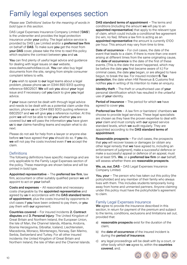# <span id="page-9-0"></span>Family legal expenses section

*Please see 'Definitions' below for the meaning of words in bold type in this section.*

DAS Legal Expenses Insurance Company Limited ('DAS') is the underwriter and provides the legal protection insurance under your policy. The legal advice service is provided by DAS Law Limited and/or a preferred law firm on behalf of DAS. To make sure you get the most from your DAS cover, please take the time to read this policy which explains the contract between **you** and us.

You can find plenty of useful legal advice and guidance for dealing with legal issues on our website. www.dashouseholdlaw.co.uk. You can also buy legal documents from the site, ranging from simple consumer complaint letters to wills.

If you wish to speak to our legal teams about a legal problem, please phone us on 0344 893 9313 quoting reference 6802507. We will ask you about your legal issue and if necessary call vou back to give you legal advice.

If your issue cannot be dealt with through legal advice and needs to be dealt with as a potential claim under this section, phone us on 0344 893 9313 quoting reference 6802507 and we will give you a reference number. At this point we will not be able to tell you whether you are covered but we will pass the information you have given us to our claims-handling teams and explain what to do next.

Please do not ask for help from a lawyer or anyone else before we have agreed that you should do so. If you do, we will not pay the costs involved even if we accept the claim.

# **Definitions**

The following definitions have specific meanings and are only applicable to the Family Legal Expenses section of the policy. These meanings are shown below and will be printed in bold type.

Appointed representative – The preferred law firm, law firm, accountant or other suitably qualified person we will appoint to act on your behalf.

Costs and expenses – All reasonable and necessary costs chargeable by the **appointed representative** and agreed by us in accordance with the DAS standard terms of appointment, plus the costs incurred by opponents in civil cases if you have been ordered to pay them, or you pay them with our agreement.

Countries covered – For insured incidents 2. Contract disputes and 3. Personal injury: The United Kingdom of Great Britain and Northern Ireland, the European Union, the Isle of Man, the Channel Islands, Albania, Andorra, Bosnia Herzegovina, Gibraltar, Iceland, Liechtenstein, Macedonia, Monaco, Montenegro, Norway, San Marino, Serbia, Switzerland and Turkey. For all other insured incidents: the United Kingdom of Great Britain and Northern Ireland, the Isle of Man and the Channel Islands. DAS standard terms of appointment - The terms and conditions (including the amount we will pay to an appointed representative) that apply to the relevant type of claim, which could include a conditional fee agreement (no win, no fee). Where a law firm is acting as an appointed representative the amount is currently £100 per hour. This amount may vary from time to time.

Date of occurrence – For civil cases, the date of the event that leads to a claim. If there is more than one event arising at different times from the same originating cause, the **date of occurrence** is the date of the first of these events. (This is the date the event happened, which may be before the date you first became aware of it.) For criminal cases, the date you began, or are alleged to have begun, to break the law. For insured incident 6. Tax protection, the date when HM Revenue & Customs first notifies you in writing of its intention to make an enquiry.

Identity theft – The theft or unauthorised use of your personal identification which has resulted in the unlawful use of your identity.

Period of insurance – The period for which we have agreed to cover you.

Preferred law firm – A law firm or barristers' chambers we choose to provide legal services. These legal specialists are chosen as they have the proven expertise to deal with your claim and must comply with our agreed service standard levels, which we audit regularly. They are appointed according to the DAS standard terms of appointment.

Reasonable prospects – For civil cases, the prospects that you will recover losses or damages (or obtain any other legal remedy that we have agreed to, including an enforcement of judgment), make a successful defence or make a successful appeal or defence of an appeal, must be at least 51%. We, or a preferred law firm on our behalf. will assess whether there are reasonable prospects.

We, us, our, DAS – DAS Legal Expenses Insurance Company Limited.

You, your  $-$  The person who has taken out this policy (the policyholder) and any member of their family who always lives with them. This includes students temporarily living away from home and unmarried partners. Anyone claiming under this policy must have the policyholder's agreement to claim.

# Family Legal Expenses Insurance

We agree to provide the insurance described in this section, in return for payment of the premium and subject to the terms, conditions, exclusions and limitations set out, provided that:

- a) reasonable prospects exist for the duration of the claim;
- b) the **date of occurrence** of the insured incident is during the period of insurance;
- c) any legal proceedings will be dealt with by a court, or other body which we agree to, within the countries covered, and;

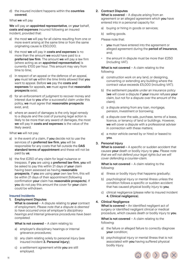d) the insured incident happens within the countries covered.

#### What we will pay

We will pay an appointed representative, on your behalf, costs and expenses incurred following an insured incident, provided that:

- a) the most we will pay for all claims resulting from one or more event arising at the same time or from the same originating cause is £50,000;
- b) the most we will pay in costs and expenses is no more than the amount we would have paid to a **preferred law firm**. The amount we will pay a law firm (where acting as an appointed representative) is currently £100 per hour. This amount may vary from time to time;
- c) in respect of an appeal or the defence of an appeal, you must tell us within the time limits allowed that you want to appeal. Before we pay the costs and expenses for appeals, we must agree that reasonable prospects exist;
- d) for an enforcement of judgment to recover money and interest due to **vou** after a successful claim under this policy, we must agree that reasonable prospects exist, and;
- e) where an award of damages is the only legal remedy to a dispute and the cost of pursuing legal action is likely to be more than any award of damages, the most we will pay in costs and expenses is the value of the likely award.

What we will not pay:

- a) in the event of a claim, if you decide not to use the services of a preferred law firm, you will be responsible for any costs that fall outside the DAS standard terms of appointment and these will not be paid by us;
- b) the first £250 of any claim for legal nuisance or trespass. If you are using a preferred law firm, you will be asked to pay this within 21 days of your claim having been assessed as having reasonable prospects. If you are using your own law firm, this will be within 21 days of their appointment (following confirmation your claim has reasonable prospects). If you do not pay this amount the cover for your claim could be withdrawn.

# Insured Incidents

# 1. Employment Disputes

What is covered  $- A$  dispute relating to your contract of employment. *Please note that a dispute is deemed to have occurred once all employer's disciplinary hearings and internal grievance procedures have been completed.*

What is not covered  $-$  A claim relating to:

- a) employer's disciplinary hearings or internal grievance procedures;
- b) any claim relating solely to personal injury (see insured incident 3. Personal injury);
- c) a settlement agreement while you are still employed.

# 2. Contract Disputes

What is covered  $- A$  dispute arising from an agreement or an alleged agreement which you have entered into in a personal capacity for:

- a) buying or hiring in goods or services;
- b) selling goods.

Please note that:

- you must have entered into the agreement or alleged agreement during the period of insurance, and;
- the amount in dispute must be more than £250 (including VAT).

What is not covered  $-$  A claim relating to the following:

- a) construction work on any land, or designing, converting or extending any building where the contract value exceeds £5,000 (including VAT);
- b) the settlement payable under an insurance policy (we will cover a dispute if your insurer refuses your claim, but not for a dispute over the amount of the claim);
- c) a dispute arising from any loan, mortgage, pension, investment or borrowing;
- d) a dispute over the sale, purchase, terms of a lease, licence, or tenancy of land or buildings. However, we will cover a dispute with a professional adviser in connection with these matters;
- e) a motor vehicle owned by or hired or leased to you.

# 3. Personal Injury

What is covered – A specific or sudden accident that causes your death or bodily injury to you. *Please note that we will not defend your legal rights but we will cover defending a counter-claim.*

What is not covered  $- A$  claim relating to the following:

- a) illness or bodily injury that happens gradually;
- b) psychological injury or mental illness unless the condition follows a specific or sudden accident that has caused physical bodily injury to you;
- c) clinical negligence (please refer to insured incident 4. Clinical negligence).

# 4. Clinical Negligence

What is covered – An identified negligent act of surgery or identified negligent clinical or medical procedure, which causes death or bodily injury to you.

What is not covered  $- A$  claim relating to the following:

- a) the failure or alleged failure to correctly diagnose your condition;
- b) psychological injury or mental illness that is not associated with you having suffered physical bodily injury.

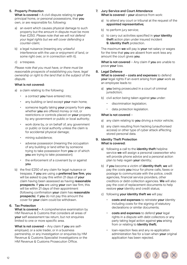# 5. Property Protection

What is covered  $-$  A civil dispute relating to your principal home, or personal possessions, that you own, or are responsible for, following:

- a) an event which causes physical damage to such property but the amount in dispute must be more than £250. *Please note that we will not defend your legal rights but we will cover defending a counter-claim;*
- b) a legal nuisance (meaning any unlawful interference with the use or enjoyment of land, or some right over, or in connection with it);
- c) a trespass.

*Please note that you must have, or there must be reasonable prospects of establishing you have, legal ownership or right to the land that is the subject of the dispute.*

# What is not covered:

- a) a claim relating to the following:
	- a contract you have entered into;
	- any building or land except your main home;
	- someone legally taking your property from you, whether you are offered money or not, or restrictions or controls placed on your property by any government or public or local authority;
	- work done by, or on behalf of, any government or public or local authority unless the claim is for accidental physical damage;
	- mining subsidence;
	- adverse possession (meaning the occupation of any building or land either by someone trying to take possession from you or of which you are trying to take possession);
	- the enforcement of a covenant by or against you.
- b) the first £250 of any claim for legal nuisance or trespass. If you are using a preferred law firm, you will be asked to pay this within 21 days of your claim having been assessed as having reasonable prospects. If you are using your own law firm, this will be within 21 days of their appointment (following confirmation your claim has reasonable prospects). If you do not pay this amount the cover for your claim could be withdrawn.

# 6. Tax Protection

What is covered – A comprehensive examination by HM Revenue & Customs that considers all areas of your self assessment tax return, but not enquiries limited to one or more specific area.

What is not covered – Any claim if you are selfemployed, or a sole trader, or in a business partnership, or any investigation or enquiries by HM Revenue & Customs Specialist Investigations or the HM Revenue & Customs Prosecution Office.

- 7. Jury Service and Court Attendance What is covered - your absence from work:
	- a) to attend any court or tribunal at the request of the appointed representative;
	- b) to perform jury service;
	- c) to carry out activities specified in your identity theft action plan under insured incident 9. Identity theft protection.

The maximum we will pay is your net salary or wages for the time that you are absent from work less any amount the court gives you.

What is not covered – Any claim if you are unable to prove your loss.

# 8. Legal Defence

What is covered - costs and expenses to defend your legal rights if an event arising from your work as an employee leads to:

- a) you being prosecuted in a court of criminal jurisdiction;
- b) civil action being taken against you under:
	- discrimination legislation;
	- data protection legislation.

#### What is not covered –

- a) any claim relating to you driving a motor vehicle;
- b) any claim resulting from hacking (unauthorised access) or other type of cyber attack affecting stored personal data.

#### 9. Identity Theft Protection What is covered:

- a) following a call to the identity theft helpline service we will assign a personal caseworker who will provide phone advice and a personal action plan to help regain your identity;
- b) if you become a victim of identity theft, we will pay the costs you incur for phone calls, faxes or postage to communicate with the police, credit agencies, financial service providers, other creditors or debt-collection agencies. We will also pay the cost of replacement documents to help restore your identity and credit status;
- c) following your identity theft we will pay:
	- costs and expenses to reinstate your identity including costs for the signing of statutory declarations or similar documents;
	- costs and expenses to defend your legal rights in a dispute with debt collectors or any party taking legal action against you arising from or relating to identity theft;
	- loan-rejection fees and any re-application administration fee for a loan when your original application has been rejected.

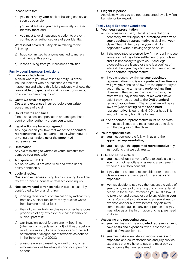Please note that:

- you must notify your bank or building society as soon as possible;
- you must tell us if you have previously suffered identity theft, and;
- you must take all reasonable action to prevent continued unauthorised use of your identity.

What is not covered - Any claim relating to the following:

- a) fraud committed by anyone entitled to make a claim under this policy;
- b) losses arising from your business activities.

# Family Legal Expenses Exclusions

#### 1. Late reported claims

A claim where you have failed to notify us of the insured incident within a reasonable time of it happening and where this failure adversely affects the reasonable prospects of a claim or we consider our position has been prejudiced.

2. Costs we have not agreed Costs and expenses incurred before our written acceptance of a claim.

#### 3. Court awards and fines

Fines, penalties, compensation or damages that a court or other authority orders you to pay.

# 4. Legal action we have not agreed

Any legal action you take that we or the appointed representative have not agreed to, or where you do anything that hinders us or the appointed representative.

#### 5. Defamation

Any claim relating to written or verbal remarks that damage your reputation.

# 6. A dispute with DAS

A dispute with us not otherwise dealt with under policy condition 8.

# 7. Judicial review

Costs and expenses arising from or relating to judicial review, coroner's inquest or fatal accident inquiry.

- 8. Nuclear, war and terrorism risks A claim caused by, contributed to by or arising from:
	- a) ionising radiation or contamination by radioactivity from any nuclear fuel or from any nuclear waste from burning nuclear fuel;
	- b) the radioactive, toxic, explosive or other hazardous properties of any explosive nuclear assembly or nuclear part of it;
	- c) war, invasion, act of foreign enemy, hostilities (whether war is declared or not), civil war, rebellion, revolution, military force or coup, or any other act of terrorism or alleged act of terrorism as defined in the Terrorism Act 2000;
	- d) pressure waves caused by aircraft or any other airborne devices travelling at sonic or supersonic speeds.

# 9. Litigant in person

Any claim where you are not represented by a law firm, barrister or tax expert.

# Family Legal Expenses Conditions

- 1. Your legal representation
	- a) on receiving a claim, if legal representation is necessary, we will appoint a preferred law firm as your appointed representative to deal with your claim. They will try to settle your claim by negotiation without having to go to court;
	- b) if the appointed **preferred law firm** or **our** in-house lawyer cannot negotiate settlement of **your** claim and it is necessary to go to court and legal proceedings are issued or there is a conflict of interest, then you may choose a law firm to act as the appointed representative;
	- c) if you choose a law firm as your appointed representative who is not a preferred law firm, we will give your choice of law firm the opportunity to act on the same terms as a preferred law firm. However if they refuse to act on this basis, the most we will pay is the amount we would have paid if they had agreed to the DAS standard terms of appointment. The amount we will pay a law firm (where acting as the appointed representative) is currently £100 per hour. This amount may vary from time to time;
	- d) the appointed representative must co-operate with us at all times and must keep us up to date with the progress of the claim.

#### 2. Your responsibilities

- a) vou must co-operate fully with us and the appointed representative;
- b) you must give the appointed representative any instructions that we ask you to.

#### 3. Offers to settle a claim

- a) you must tell us if anyone offers to settle a claim. You must not negotiate or agree to a settlement without our written consent;
- b) if you do not accept a reasonable offer to settle a claim, we may refuse to pay further costs and expenses;
- c) we may decide to pay you the reasonable value of your claim, instead of starting or continuing legal action. In these circumstances you must allow us to take over and pursue or settle any claim in your name. You must also allow us to pursue at our own expense and for **our** own benefit, any claim for compensation against any other person and you must give us all the information and help we need to do so.

# 4. Assessing and recovering costs

- a) you must instruct the appointed representative to have **costs and expenses** taxed, assessed or audited if we ask for this;
- b) you must take every step to recover costs and expenses and court attendance and jury service expenses that we have to pay and must pay us any amounts that are recovered.

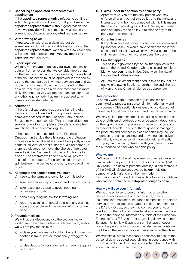5. Cancelling an appointed representative's appointment

If the appointed representative refuses to continue acting for you with good reason, or if you dismiss the appointed representative without good reason, the cover we provide will end immediately, unless we agree to appoint another appointed representative.

#### 6. Withdrawing cover

If you settle or withdraw a claim without our agreement, or do not give suitable instructions to the appointed representative, we can withdraw cover and will be entitled to reclaim from you any costs and expenses we have paid.

# 7. Expert opinion

We may require you to get, at your own expense, an opinion from an expert that we consider appropriate, on the merits of the claim or proceedings, or on a legal principle. The expert must be approved in advance by us and the cost agreed in writing between you and us. Subject to this, we will pay the cost of getting the opinion if the expert's opinion indicates that it is more likely than not that you will recover damages (or obtain any other legal remedy that we have agreed to) or make a successful defence.

# 8. Arbitration

If there is a disagreement about the handling of a claim and it is not resolved through our internal complaints procedure the Financial Ombudsman Service may be able to help. This is a free arbitration service for eligible complaints. (Details available from www.financial-ombudsman.org.uk)

If the dispute is not covered by the Financial Ombudsman Service there is a separate arbitration process available. The arbitrator will be a jointly agreed barrister, solicitor or other suitably qualified person. If there is a disagreement over the choice of arbitrator, we will ask the Chartered Institute of Arbitrators to decide. The arbitrator will decide who will pay the costs of the arbitration. For example, costs may be split between the parties or one party may pay all the costs.

#### 9. Keeping to the section terms you must:

- a) keep to the terms and conditions of this policy;
- b) take reasonable steps to avoid and prevent claims;
- c) take reasonable steps to avoid incurring unnecessary costs;
- d) send everything we ask for, in writing, and;
- e) report to us full and factual details of any claim as soon as possible and give us any information we need.

# 10. Fraudulent claims

We will, at our discretion, void the section (make it invalid) from the date of claim, or alleged claim, and/or we will not pay the claim if:

- a) a claim you have made to obtain benefit under this section is fraudulent or intentionally exaggerated, or
- b) a false declaration or statement is made in support of a claim.

# 11. Claims under this section by a third party

Apart from us, you are the only person who may enforce all or any part of this policy and the rights and interests arising from or connected with it. This means that the Contracts (Rights of Third Parties) Act 1999 does not apply to the policy in relation to any thirdparty rights or interest.

#### 12. Other insurances

If any claim covered under this section is also covered by another policy, or would have been covered if this section did not exist, we will only pay our share of the claim even if the other insurer refuses the claim.

#### 13. Law that applies

This policy is governed by the law that applies in the part of the United Kingdom, Channel Islands or Isle of Man where you normally live. Otherwise, the law of England and Wales applies.

All Acts of Parliament mentioned in this policy include equivalent laws in Scotland, Northern Ireland, the Isle of Man and the Channel Islands as appropriate.

# Data protection

To comply with data protection regulations we are committed to processing personal information fairly and transparently. This section is designed to provide a brief understanding of how we collect and use this information.

We may collect personal details including name, address, date of birth, email address and, on occasion, dependent on the type of cover in place, sensitive information such as medical records. This is for the purpose of managing the products and services in place and this may include underwriting, claims handling and providing legal advice. We will only obtain personal information either directly from you, the third party dealing with your claim or from the authorised partner who sold this policy.

# Who we are

DAS is part of DAS Legal Expenses Insurance Company Limited which is part of DAS UK Holdings Limited (DAS UK Group). The uses of personal data by us and members of the DAS UK Group are covered by our individual company registrations with the Information Commissioner's Office. DAS has a Data Protection Officer who can be contacted at dataprotection@das.co.uk

# How we will use your information

We may need to send personal information to other parties, such as lawyers or other experts, the court, insurance intermediaries, insurance companies, appointed service providers, specialist agencies or other members of the DAS UK Group, so they may contact you for your feedback. If the policy includes legal advice we may have to send the personal information outside of the European Economic Area (EEA) in order to give legal advice on non-European Union law. Dependent on the type of cover in place, the personal information may also be sent outside the EEA so the service provider can administer the claim.

We will take all steps reasonably necessary to ensure the personal data is treated securely and in accordance with this Privacy Notice. Any transfer outside of the EEA will be encrypted using SSL technology.

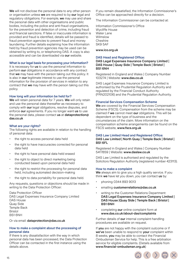We will not disclose the personal data to any other person or organisation unless we are required to by our legal and regulatory obligations. For example, we may use and share the personal data with other organisations and public bodies, including the police and anti-fraud organisations, for the prevention and detection of crime, including fraud and financial sanctions. If false or inaccurate information is provided and fraud is identified, details will be passed to fraud prevention agencies to prevent fraud and money laundering. Further details explaining how the information held by fraud prevention agencies may be used can be obtained by writing to, or telephoning DAS. A copy is also accessible and can be downloaded via our website.

#### What is our legal basis for processing your information?

It is necessary for us to use the personal information to perform our obligations in accordance with any contract that we may have with the person taking out this policy. It is also in our legitimate interest to use the personal information for the provision of services in relation to any contract that we may have with the person taking out this policy.

#### How long will your information be held for?

We will retain personal data for 7 years. We will only retain and use the personal data thereafter as necessary to comply with our legal obligations, resolve disputes, and enforce our agreements. If you no longer want us to use the personal data, please contact us at dataprotection@ das.co.uk

#### What are your rights?

The following rights are available in relation to the handling of personal data:

- the right to access personal data held
- the right to have inaccuracies corrected for personal data held
- the right to have personal data held erased
- the right to object to direct marketing being conducted based upon personal data held
- the right to restrict the processing for personal data held, including automated decision-making
- the right to data portability for personal data held.

Any requests, questions or objections should be made in writing to the Data Protection Officer:

Data Protection Officer DAS Legal Expenses Insurance Company Limited DAS House Quay Side Temple Back Bristol BS1 6NH

Or via email: dataprotection@das.co.uk

#### How to make a complaint about the processing of personal data

If there is any dissatisfaction with the way in which personal data has been processed, the Data Protection Officer can be contacted in the first instance using the details above.

If you remain dissatisfied, the Information Commissioner's Office can be approached directly for a decision.

The Information Commissioner can be contacted at:

Information Commissioner's Office Wycliffe House Water Lane Wilmslow Cheshire SK9 5AF

www.ico.org.uk

#### DAS Head and Registered Office:

#### DAS Legal Expenses Insurance Company Limited | DAS House | Quay Side | Temple Back | Bristol | BS1 6NH

Registered in England and Wales | Company Number 103274 | Website: www.das.co.uk

DAS Legal Expenses Insurance Company Limited is authorised by the Prudential Regulation Authority and regulated by the Financial Conduct Authority (FRN202106) and the Prudential Regulation Authority.

#### Financial Services Compensation Scheme

We are covered by the Financial Services Compensation Scheme (FSCS). Compensation from the scheme may be claimed if we cannot meet our obligations. This will be dependent on the type of business and the circumstances of the claim. More information on the compensation scheme arrangements can be found on the FSCS website, www.fscs.org.uk

#### DAS Law Limited Head and Registered Office:

DAS Law Limited | North Quay | Temple Back | Bristol | BS1 6FL

Registered in England and Wales | Company Number 5417859 | Website: www.daslaw.co.uk

DAS Law Limited is authorised and regulated by the Solicitors Regulation Authority (registered number 423113).

#### How to make a complaint

We always aim to give you a high quality service. If you think we have let you down, you can contact us by:

- phoning 0344 893 9013
- emailing customerrelations@das.co.uk
- writing to the Customer Relations Department: DAS Legal Expenses Insurance Company Limited | DAS House |Quay Side | Temple Back | Bristol | BS1 6NH
- completing our online complaint form at www.das.co.uk/about-das/complaints

Further details of our internal complaint-handling procedures are available on request.

If you are not happy with the complaint outcome or if we've been unable to respond to your complaint within 8 weeks, you may be able to contact the Financial Ombudsman Service for help. This is a free arbitration service for eligible complaints. (Details available from www.financial-ombudsman.org.uk)

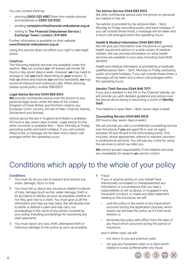<span id="page-15-0"></span>You can contact them by:

- phoning 0800 023 4567 (free from mobile phones and landlines) or 0300 123 9123
- emailing complaint.info@financial-ombudsman.org.uk
- writing to The Financial Ombudsman Service | Exchange Tower | London | E14 9SR

Further information is available on their website: www.financial-ombudsman.org.uk

Using this service does not affect your right to take legal action.

#### **Helplines**

The following helpline services are available under this section. You can contact our UK-based call centre 24 hours a day, seven days a week. However, we may need to arrange to call you back depending on your enquiry. To help us check and improve our service standards, we may record all inbound and outbound calls. When phoning, please quote policy number 6802507.

#### Legal Advice Service 0344 893 9313

We provide confidential advice over the phone on any personal legal issue, under the laws of the United Kingdom of Great Britain and Northern Ireland, any European Union country, the Isle of Man, Channel Islands, Switzerland and Norway.

Advice about the law in England and Wales is available 24 hours a day, seven days a week. Legal advice for the other countries is available 9am – 5pm, Monday to Friday, excluding public and bank holidays. If you call outside these times, a message will be taken and a return call arranged within the operating hours.

# Tax Advice Service 0344 893 9313

We offer confidential advice over the phone on personal tax matters in the UK.

Tax advice is provided by tax advisors 9am – 5pm, Monday to Friday, excluding public and bank holidays. If you call outside these times, a message will be taken and a return call arranged within the operating hours.

#### Health & Medical Information 0344 893 9313

We will give you information over the phone on general health issues and advice on a wide variety of medical matters. We can provide information on what health services are available in your area, including local NHS dentists.

Health and medical information is provided by a medically qualified person 9am – 5pm, Monday to Friday, excluding public and bank holidays. If you call outside these times, a message will be taken and a return call arranged within the operating hours.

#### Identity Theft Service 0344 848 7071

If you are a resident in the UK or the Channel Islands, we will provide you with detailed guidance and advice over the phone about being or becoming a victim of *identity* theft.

This helpline is open 8am – 8pm, seven days a week.

#### Counselling Service 0344 893 9012

(24 hours a day, seven days a week.)

We will provide you with a confidential counselling service over the phone if you are aged 18 or over (or aged between 16 and 18 and in full-time employment). This includes, where appropriate, referral to relevant voluntary or professional services. You will pay any costs for using the services to which we refer you.

We cannot accept responsibility if the helpline services are unavailable for reasons we cannot control.

# Conditions which apply to the whole of your policy

#### **Conditions**

- 1 You must do all you can to prevent and reduce any costs, damage, injury or loss.
- 2 You must tell us about any insurance related incidents of loss, damage (such as fire, water damage, theft or an accident) or liability as soon as possible whether or not they give rise to a claim. You must give us all the information and help we may need. We will decide how to settle or defend a claim and may carry out proceedings in the name of any person covered by your policy, including proceedings for recovering any claim payments.
- 3 You must report any loss, theft, attempted theft or malicious damage to the police as soon as possible.

4 Fraud

If you or anyone acting on your behalf have intentionally concealed or misrepresented any information or circumstance that you had a responsibility to tell us about, or engaged in any fraudulent conduct, or made any false statement relating to this insurance, we will:

- void the policy in the event of any fraud which occurred during the application process, which means we will treat the policy as if it had never existed; or
- terminate the policy with effect from the date of any fraud which occurred during the period of insurance;

and in either case, we will:

- not return to you any premium paid;
- not pay any fraudulent claim or a claim which relates to a loss suffered after any fraud;

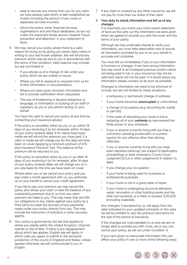- seek to recover any money from you for any claim we have already paid which is later established as invalid, including the amount of any costs or expenses we have incurred;
- inform the police, other financial services organisations and anti-fraud databases, as set out under the Important Notes section headed 'Fraud prevention and detection' in your statement of facts.
- 5 We may cancel your policy where there is a valid reason for doing so by giving you seven days notice in writing to your last known address. We will refund any premium which may be due to you in accordance with the terms of this condition. Valid reasons may include but are not limited to:
	- If you advise us of a change of risk under your policy which we are unable to insure;
	- Where you fail to respond to requests from us for further information or documentation;
	- Where you have given incorrect information and fail to provide clarification when requested;
	- The use of threatening or abusive behaviour or language, or intimidation or bullying of our staff or suppliers, by you or any person acting on your behalf.

You have the right to cancel your policy at any time by contacting your insurance advisor.

If the policy is cancelled, either by you or us, within 14 days of you receiving it (or for renewals, within 14 days of your policy renewal date), if no claims have been made we will refund the premium you have paid. If a claim is made we will charge you for the days we have been on cover (applying a minimum premium of £15 plus Insurance Premium Tax). The balance of the premium will be returned to you.

If the policy is cancelled, either by you or us, after 14 days of you receiving it (or for renewals, after 14 days of your policy renewal date), we will charge you on a pro rata basis for the time we have been on cover.

Where either you or we cancel your policy and you pay under a credit agreement with us, you authorise us on your behalf to cancel your credit agreement.

If you fail to pay your premium we may cancel the policy and refuse your claim or take the balance of any outstanding premium due to us from any claim payment we make to you. This may mean that we fulfil our obligations to any claims against your policy by a third party but seek full recovery of any payments made under your policy directly from you. This may include the instruction of solicitors or other recovery agents.

6 Your policy is governed by the law that applies to where you reside within the United Kingdom, Channel Islands or Isle of Man. If there is any disagreement about which law applies, English law will apply, in which case you agree to submit to the exclusive jurisdiction of the courts in England and Wales. Unless agreed otherwise, we will communicate to you in English.

7 If any claim is covered by any other insurance, we will not pay for more than our share of that claim.

#### 8 Your duty to check information and tell us of any changes

It is important you check your most recent statement of facts as this sets out the information we were given when we agreed to provide you with the cover and the terms of your policy.

Although we may undertake checks to verify your information, you must take reasonable care to ensure all information provided by you or on your behalf is accurate and complete.

You must tell us immediately if any of your information is incorrect or changes. If we have wrong information this may result in an increased premium and/or claims not being paid in full, or your insurance may not be valid and claims will not be paid. If in doubt about any information please contact us as soon as possible.

Changes to information we need to be informed of include, but are not limited to, these situations:

- a temporary or permanent change of address;
- if your home becomes **unoccupied** or unfurnished;
- a change of occupancy (e.g. becoming let, sublet or part let);
- if the costs of rebuilding your home in full or replacing all of your contents as new exceed the limits shown in your schedule;
- if you or anyone currently living with you has a conviction, pending prosecution or a police caution for any offence other than driving offences;
- if you or anyone currently living with you have been declared bankrupt, are subject to bankruptcy proceedings or have received a County Court Judgment (CCJ) or other judgements in relation to debt;
- if you change your occupation;
- if your home is being used for business or professional purposes;
- if your home is not in a good state of repair;
- if your home is undergoing structural alteration, repair, renovation or other building works and the total cost exceeds, or is likely to exceed, £25,000 (including materials).

Any changes, if accepted by us, will apply from the date indicated on your updated schedule. In this case we will be entitled to vary the premium and terms for the rest of the period of insurance.

If the changes are unacceptable to us and we are no longer able to provide you with cover, we or you can cancel your policy, as set out under Condition 5.

If you have given us inaccurate information this can affect your policy in one or more of the following ways:

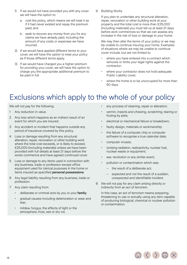- <span id="page-17-0"></span>1) If we would not have provided you with any cover we will have the option to:
	- a. void the policy, which means we will treat it as if it had never existed and repay the premium paid; and
	- b. seek to recover any money from you for any claims we have already paid, including the amount of any costs or expenses we have incurred.
- 2) If we would have applied different terms to your cover, we will have the option to treat your policy as if those different terms apply.
- 3) If we would have charged you a higher premium for providing your cover, we will have the option to charge you the appropriate additional premium to be paid in full.

9 Building Works

If you plan to undertake any structural alteration, repair, renovation or other building work at your property and the total cost is more than £25,000 (including materials) you must tell us at least 21 days before work commences so that we can assess any increase in the risk of loss or damage to your home.

We may then alter the terms of your policy or we may be unable to continue insuring your home. Examples of situations where we may be unable to continue cover include, but are not limited to:

- where you have entered into a contract which removes or limits your legal rights against the contractor;
- where your contractor does not hold adequate Public Liability cover;
- where the home is to be unoccupied for more than 60 days.

# Exclusions which apply to the whole of your policy

We will not pay for the following.

- 1 Any reduction in value.
- 2 Any loss which happens as an indirect result of an event for which you are insured.
- 3 Any accident or incident that happens outside any period of insurance covered by this policy.
- 4 Loss or damage resulting from any structural alteration, repair, renovation or other building work where the total cost exceeds, or is likely to exceed, £25,000 (including materials) unless we have been provided with full details at least 21 days before the works commence and have agreed continued cover.
- 5 Loss or damage to any items used in connection with any business, trade or profession except office equipment used for clerical purposes in the home or items insured as specified personal possessions.
- 6 Any legal liability resulting from any business, trade or profession.
- 7 Any claim resulting from:
	- deliberate or criminal acts by you or your family;
	- gradual causes including deterioration or wear and tear;
	- mildew, fungus, the effects of light or the atmosphere, frost, wet or dry rot;
- any process of cleaning, repair or alteration;
- vermin, insects and chewing, scratching, tearing or fouling by pets;
- electrical or mechanical failure or breakdown;
- faulty design, materials or workmanship;
- the failure of a computer chip or computer software to recognise a true calendar date;
- computer viruses;
- ionising radiation, radioactivity, nuclear fuel, nuclear waste or equipment;
- war, revolution or any similar event;
- pollution or contamination which was:
	- the result of a deliberate act;
	- expected and not the result of a sudden, unexpected and identifiable incident.
- 8 We will not pay for any claim arising directly or indirectly from an act of terrorism.

In this case, an act of terrorism means preparing, threatening to use or actually using any item capable of producing biological, chemical or nuclear pollution or contamination.

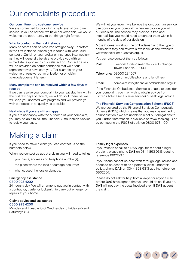# <span id="page-18-0"></span>Our complaints procedure

#### Our commitment to customer service

We are committed to providing a high level of customer service. If you do not feel we have delivered this, we would welcome the opportunity to put things right for you.

#### Who to contact in the first instance

Many concerns can be resolved straight away. Therefore in the first instance, please get in touch with your usual contact at Zurich or your broker or insurance intermediary as they will generally be able to provide you with an immediate response to your satisfaction. Contact details will be provided on correspondence that we or our representatives have sent you. (For example on your welcome or renewal communication or on claim acknowledgement letters).

#### Many complaints can be resolved within a few days of receipt

If we can resolve your complaint to your satisfaction within the first few days of receipt, we will do so. Otherwise, we will keep you updated with progress and will provide you with our decision as quickly as possible.

#### Next steps if you are still unhappy

If you are not happy with the outcome of your complaint, you may be able to ask the Financial Ombudsman Service to review your case.

# Making a claim

If you need to make a claim you can contact us on the numbers below.

- When you contact us about a claim you will need to tell us:
- your name, address and telephone number(s);
- the place where the loss or damage occurred;
- what caused the loss or damage.

#### Emergency assistance 0800 923 4202

24 hours a day. We will arrange to put you in contact with a contractor, glazier or locksmith to carry out emergency repairs at your home.

#### Claims advice and assistance 0800 923 4200

Monday and Tuesday 8-6, Wednesday to Friday 9-5 and Saturdays 8-4.

We will let you know if we believe the ombudsman service can consider your complaint when we provide you with our decision. The service they provide is free and impartial, but you would need to contact them within 6 months of the date of our decision.

More information about the ombudsman and the type of complaints they can review is available via their website www.financial-ombudsman.org.uk.

You can also contact them as follows:

| Post: | Financial Ombudsman Service, Exchange |
|-------|---------------------------------------|
|       | Tower, London, E14 9SR                |

| Telephone: 08000 234567              |
|--------------------------------------|
| (free on mobile phone and landlines) |

Email: complaint.info@financial-ombudsman.org.uk

If the Financial Ombudsman Service is unable to consider your complaint, you may wish to obtain advice from Citizens Advice (or a similar service) or seek legal advice.

#### The Financial Services Compensation Scheme (FSCS)

We are covered by the Financial Services Compensation Scheme (FSCS) which means that you may be entitled to compensation if we are unable to meet our obligations to you. Further information is available on www.fscs.org.uk or by contacting the FSCS directly on 0800 678 1100.

#### Family legal expenses

If you wish to speak to a DAS legal team about a legal problem, please phone DAS on 0344 893 9313 quoting reference 6802507.

If your issue cannot be dealt with through legal advice and needs to be dealt with as a potential claim under this policy, phone DAS on 0344 893 9313 quoting reference 6802507.

Please do not ask for help from a lawyer or anyone else before DAS have agreed that you should do so. If you do, DAS will not pay the costs involved even if DAS accept the claim.